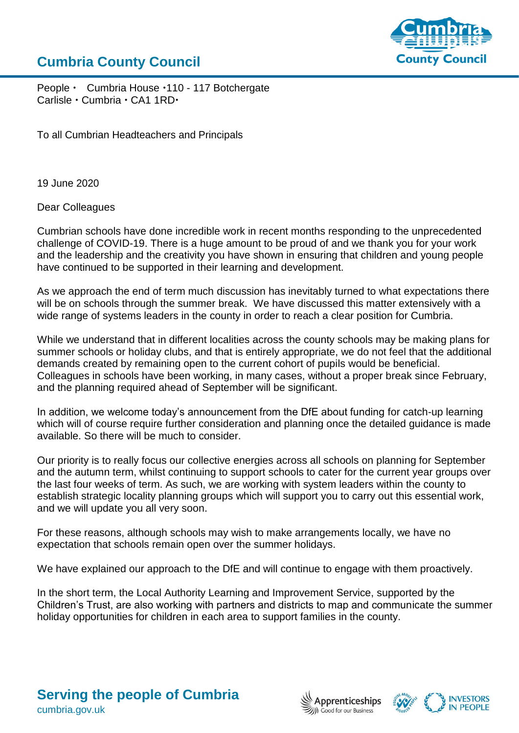## **Cumbria County Council**



People • Cumbria House · 110 - 117 Botchergate Carlisle · Cumbria · CA1 1RD·

To all Cumbrian Headteachers and Principals

19 June 2020

Dear Colleagues

Cumbrian schools have done incredible work in recent months responding to the unprecedented challenge of COVID-19. There is a huge amount to be proud of and we thank you for your work and the leadership and the creativity you have shown in ensuring that children and young people have continued to be supported in their learning and development.

As we approach the end of term much discussion has inevitably turned to what expectations there will be on schools through the summer break. We have discussed this matter extensively with a wide range of systems leaders in the county in order to reach a clear position for Cumbria.

While we understand that in different localities across the county schools may be making plans for summer schools or holiday clubs, and that is entirely appropriate, we do not feel that the additional demands created by remaining open to the current cohort of pupils would be beneficial. Colleagues in schools have been working, in many cases, without a proper break since February, and the planning required ahead of September will be significant.

In addition, we welcome today's announcement from the DfE about funding for catch-up learning which will of course require further consideration and planning once the detailed guidance is made available. So there will be much to consider.

Our priority is to really focus our collective energies across all schools on planning for September and the autumn term, whilst continuing to support schools to cater for the current year groups over the last four weeks of term. As such, we are working with system leaders within the county to establish strategic locality planning groups which will support you to carry out this essential work, and we will update you all very soon.

For these reasons, although schools may wish to make arrangements locally, we have no expectation that schools remain open over the summer holidays.

We have explained our approach to the DfE and will continue to engage with them proactively.

In the short term, the Local Authority Learning and Improvement Service, supported by the Children's Trust, are also working with partners and districts to map and communicate the summer holiday opportunities for children in each area to support families in the county.